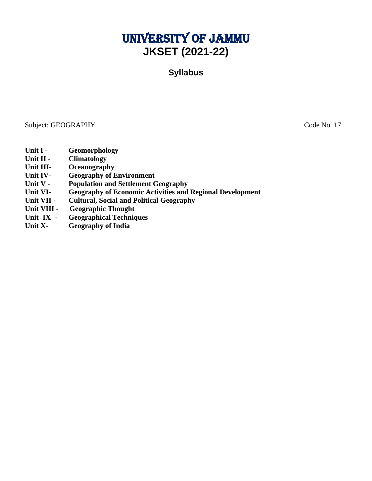# University of Jammu **JKSET (2021-22)**

**Syllabus**

Subject: GEOGRAPHY Code No. 17

- **Unit I - Geomorphology**
- **Unit II - Climatology**
- **Unit III- Oceanography**
- **Unit IV- Geography of Environment**
- **Unit V - Population and Settlement Geography**
- **Unit VI- Geography of Economic Activities and Regional Development**
- **Unit VII - Cultural, Social and Political Geography**
- **Unit VIII Geographic Thought**
- **Unit IX - Geographical Techniques**
- **Unit X- Geography of India**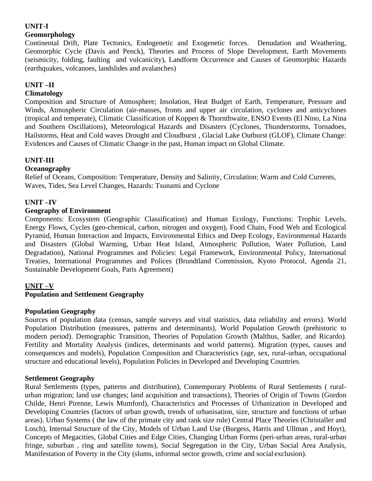## **UNIT-I**

## **Geomorphology**

Continental Drift, Plate Tectonics, Endogenetic and Exogenetic forces. Denudation and Weathering, Geomorphic Cycle (Davis and Penck), Theories and Process of Slope Development, Earth Movements (seismicity, folding, faulting and vulcanicity), Landform Occurrence and Causes of Geomorphic Hazards (earthquakes, volcanoes, landslides and avalanches)

# **UNIT –II**

## **Climatology**

Composition and Structure of Atmosphere; Insolation, Heat Budget of Earth, Temperature, Pressure and Winds, Atmospheric Circulation (air-masses, fronts and upper air circulation, cyclones and anticyclones (tropical and temperate), Climatic Classification of Koppen & Thornthwaite, ENSO Events (El Nino, La Nina and Southern Oscillations), Meteorological Hazards and Disasters (Cyclones, Thunderstorms, Tornadoes, Hailstorms, Heat and Cold waves Drought and Cloudburst , Glacial Lake Outburst (GLOF), Climate Change: Evidences and Causes of Climatic Change in the past, Human impact on Global Climate.

# **UNIT-III**

## **Oceanography**

Relief of Oceans, Composition: Temperature, Density and Salinity, Circulation: Warm and Cold Currents, Waves, Tides, Sea Level Changes, Hazards: Tsunami and Cyclone

# **UNIT –IV**

## **Geography of Environment**

Components: Ecosystem (Geographic Classification) and Human Ecology, Functions: Trophic Levels, Energy Flows, Cycles (geo-chemical, carbon, nitrogen and oxygen), Food Chain, Food Web and Ecological Pyramid, Human Interaction and Impacts, Environmental Ethics and Deep Ecology, Environmental Hazards and Disasters (Global Warming, Urban Heat Island, Atmospheric Pollution, Water Pollution, Land Degradation), National Programmes and Policies: Legal Framework, Environmental Policy, International Treaties, International Programmes and Polices (Brundtland Commission, Kyoto Protocol, Agenda 21, Sustainable Development Goals, Paris Agreement)

## **UNIT –V**

## **Population and Settlement Geography**

## **Population Geography**

Sources of population data (census, sample surveys and vital statistics, data reliability and errors). World Population Distribution (measures, patterns and determinants), World Population Growth (prehistoric to modern period). Demographic Transition, Theories of Population Growth (Malthus, Sadler, and Ricardo). Fertility and Mortality Analysis (indices, determinants and world patterns). Migration (types, causes and consequences and models), Population Composition and Characteristics (age, sex, rural-urban, occupational structure and educational levels), Population Policies in Developed and Developing Countries.

## **Settlement Geography**

Rural Settlements (types, patterns and distribution), Contemporary Problems of Rural Settlements ( ruralurban migration; land use changes; land acquisition and transactions), Theories of Origin of Towns (Gordon Childe, Henri Pirenne, Lewis Mumford), Characteristics and Processes of Urbanization in Developed and Developing Countries (factors of urban growth, trends of urbanisation, size, structure and functions of urban areas). Urban Systems ( the law of the primate city and rank size rule) Central Place Theories (Christaller and Losch), Internal Structure of the City, Models of Urban Land Use (Burgess, Harris and Ullman , and Hoyt), Concepts of Megacities, Global Cities and Edge Cities, Changing Urban Forms (peri-urban areas, rural-urban fringe, suburban , ring and satellite towns), Social Segregation in the City, Urban Social Area Analysis, Manifestation of Poverty in the City (slums, informal sector growth, crime and social exclusion).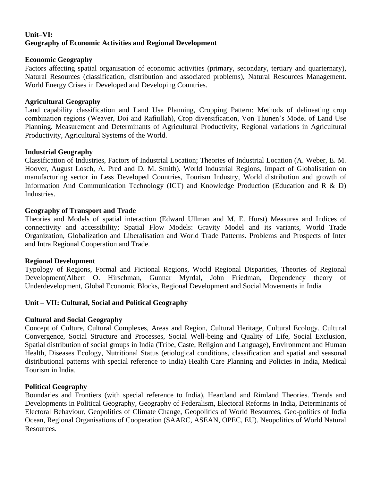## **Unit–VI: Geography of Economic Activities and Regional Development**

### **Economic Geography**

Factors affecting spatial organisation of economic activities (primary, secondary, tertiary and quarternary), Natural Resources (classification, distribution and associated problems), Natural Resources Management. World Energy Crises in Developed and Developing Countries.

#### **Agricultural Geography**

Land capability classification and Land Use Planning, Cropping Pattern: Methods of delineating crop combination regions (Weaver, Doi and Rafiullah), Crop diversification, Von Thunen's Model of Land Use Planning. Measurement and Determinants of Agricultural Productivity, Regional variations in Agricultural Productivity, Agricultural Systems of the World.

#### **Industrial Geography**

Classification of Industries, Factors of Industrial Location; Theories of Industrial Location (A. Weber, E. M. Hoover, August Losch, A. Pred and D. M. Smith). World Industrial Regions, Impact of Globalisation on manufacturing sector in Less Developed Countries, Tourism Industry, World distribution and growth of Information And Communication Technology (ICT) and Knowledge Production (Education and R & D) Industries.

### **Geography of Transport and Trade**

Theories and Models of spatial interaction (Edward Ullman and M. E. Hurst) Measures and Indices of connectivity and accessibility; Spatial Flow Models: Gravity Model and its variants, World Trade Organization, Globalization and Liberalisation and World Trade Patterns. Problems and Prospects of Inter and Intra Regional Cooperation and Trade.

#### **Regional Development**

Typology of Regions, Formal and Fictional Regions, World Regional Disparities, Theories of Regional Development(Albert O. Hirschman, Gunnar Myrdal, John Friedman, Dependency theory of Underdevelopment, Global Economic Blocks, Regional Development and Social Movements in India

#### **Unit – VII: Cultural, Social and Political Geography**

#### **Cultural and Social Geography**

Concept of Culture, Cultural Complexes, Areas and Region, Cultural Heritage, Cultural Ecology. Cultural Convergence, Social Structure and Processes, Social Well-being and Quality of Life, Social Exclusion, Spatial distribution of social groups in India (Tribe, Caste, Religion and Language), Environment and Human Health, Diseases Ecology, Nutritional Status (etiological conditions, classification and spatial and seasonal distributional patterns with special reference to India) Health Care Planning and Policies in India, Medical Tourism in India.

#### **Political Geography**

Boundaries and Frontiers (with special reference to India), Heartland and Rimland Theories. Trends and Developments in Political Geography, Geography of Federalism, Electoral Reforms in India, Determinants of Electoral Behaviour, Geopolitics of Climate Change, Geopolitics of World Resources, Geo-politics of India Ocean, Regional Organisations of Cooperation (SAARC, ASEAN, OPEC, EU). Neopolitics of World Natural Resources.